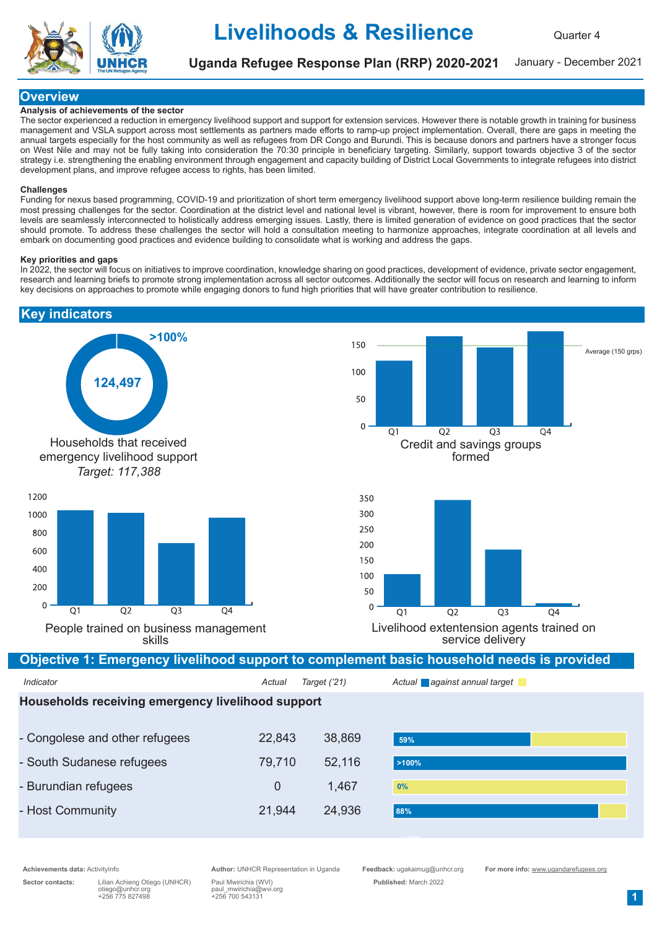

Uganda Refugee Response Plan (RRP) 2020-2021

January - December 2021

## **Overview**

### Analysis of achievements of the sector

The sector experienced a reduction in emergency livelihood support and support for extension services. However there is notable growth in training for business management and VSLA support across most settlements as partners made efforts to ramp-up project implementation. Overall, there are gaps in meeting the annual targets especially for the host community as well as refugees from DR Congo and Burundi. This is because donors and partners have a stronger focus on West Nile and may not be fully taking into consideration the 70:30 principle in beneficiary targeting. Similarly, support towards objective 3 of the sector strategy i.e. strengthening the enabling environment through engagement and capacity building of District Local Governments to integrate refugees into district development plans, and improve refugee access to rights, has been limited.

#### Challenges

Funding for nexus based programming, COVID-19 and prioritization of short term emergency livelihood support above long-term resilience building remain the most pressing challenges for the sector. Coordination at the district level and national level is vibrant, however, there is room for improvement to ensure both levels are seamlessly interconnected to holistically address emerging issues. Lastly, there is limited generation of evidence on good practices that the sector should promote. To address these challenges the sector will hold a consultation meeting to harmonize approaches, integrate coordination at all levels and embark on documenting good practices and evidence building to consolidate what is working and address the gaps.

#### Key priorities and gaps

In 2022, the sector will focus on initiatives to improve coordination, knowledge sharing on good practices, development of evidence, private sector engagement, research and learning briefs to promote strong implementation across all sector outcomes. Additionally the sector will focus on research and learning to inform key decisions on approaches to promote while engaging donors to fund high priorities that will have greater contribution to resilience.



Sector contacts: Lilian Achieng Otiego (UNHCR) Paul Mwirichia (WVI) Published: March 2022 otiego@unhcr.org paul\_mwirichia@wvi.org +256 775 827498 +256 700 543131

Achievements data: ActivityInfo **Author: UNHCR Representation in Uganda** Feedback: ugakaimug@unhcr.org For more info: www.ugandarefugees.org Author: UNHCR Representation in Uganda Feedback: ugakaimug@unhcr.org For more inf